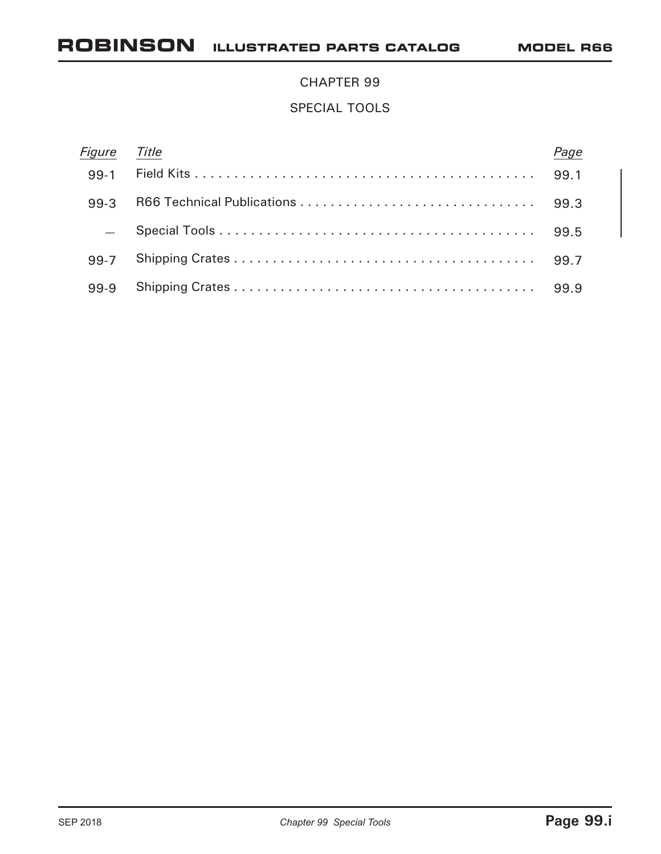### CHAPTER 99

### SPECIAL TOOLS

| Figure | Title |      |
|--------|-------|------|
| $99-1$ |       | 99.1 |
| 99-3   |       |      |
|        |       |      |
| 99-7   |       |      |
| 99-9   |       | 99.9 |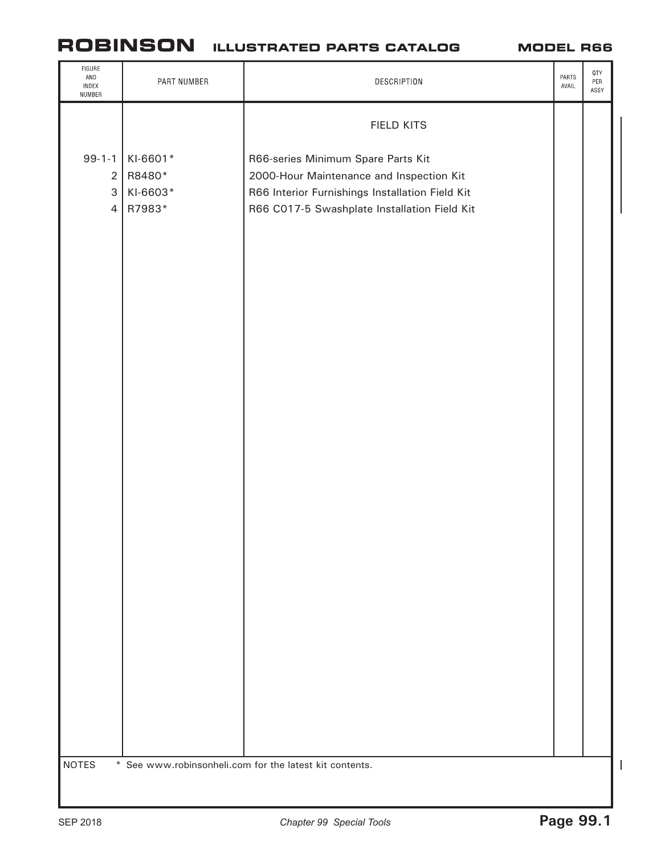#### **MODEL R66**

| FIGURE<br>AND<br>INDEX<br>NUMBER                                          | PART NUMBER                              | DESCRIPTION                                                                                                                                                                       | PARTS<br>AVAIL | QTY<br>PER<br>ASSY |   |
|---------------------------------------------------------------------------|------------------------------------------|-----------------------------------------------------------------------------------------------------------------------------------------------------------------------------------|----------------|--------------------|---|
|                                                                           |                                          | FIELD KITS                                                                                                                                                                        |                |                    |   |
| $99 - 1 - 1$<br>$\sqrt{2}$<br>$\ensuremath{\mathsf{3}}$<br>$\overline{4}$ | KI-6601*<br>R8480*<br>KI-6603*<br>R7983* | R66-series Minimum Spare Parts Kit<br>2000-Hour Maintenance and Inspection Kit<br>R66 Interior Furnishings Installation Field Kit<br>R66 C017-5 Swashplate Installation Field Kit |                |                    |   |
|                                                                           |                                          |                                                                                                                                                                                   |                |                    |   |
|                                                                           |                                          |                                                                                                                                                                                   |                |                    |   |
|                                                                           |                                          |                                                                                                                                                                                   |                |                    |   |
|                                                                           |                                          |                                                                                                                                                                                   |                |                    |   |
|                                                                           |                                          |                                                                                                                                                                                   |                |                    |   |
|                                                                           |                                          |                                                                                                                                                                                   |                |                    |   |
| <b>NOTES</b>                                                              |                                          |                                                                                                                                                                                   |                |                    | I |
| * See www.robinsonheli.com for the latest kit contents.                   |                                          |                                                                                                                                                                                   |                |                    |   |

I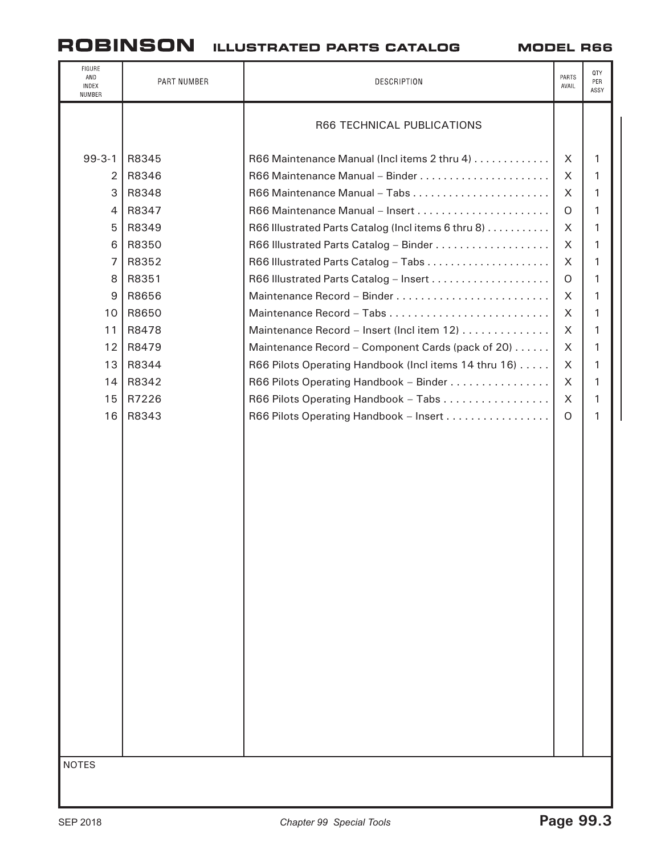| FIGURE<br>AND<br>INDEX<br>NUMBER | PART NUMBER | DESCRIPTION                                          | PARTS<br>AVAIL | QTY<br>PER<br>ASSY |  |  |
|----------------------------------|-------------|------------------------------------------------------|----------------|--------------------|--|--|
|                                  |             | R66 TECHNICAL PUBLICATIONS                           |                |                    |  |  |
| $99 - 3 - 1$                     | R8345       | R66 Maintenance Manual (Inclitems 2 thru 4)          | X              | 1                  |  |  |
| $\overline{2}$                   | R8346       |                                                      | X              | 1                  |  |  |
| 3                                | R8348       |                                                      | X              | 1                  |  |  |
| $\overline{4}$                   | R8347       |                                                      | O              | 1                  |  |  |
| 5                                | R8349       | R66 Illustrated Parts Catalog (Inclitems 6 thru 8)   | X              | 1                  |  |  |
| 6                                | R8350       |                                                      | X              | 1                  |  |  |
| $\overline{7}$                   | R8352       |                                                      | $\sf X$        | 1                  |  |  |
| 8                                | R8351       |                                                      | O              | 1                  |  |  |
| 9                                | R8656       |                                                      | X              | 1                  |  |  |
| 10                               | R8650       |                                                      | X              | 1                  |  |  |
| 11                               | R8478       | Maintenance Record - Insert (Incl item 12)           | X              | 1                  |  |  |
| 12                               | R8479       | Maintenance Record - Component Cards (pack of 20)    | X              | 1                  |  |  |
| 13                               | R8344       | R66 Pilots Operating Handbook (Inclitems 14 thru 16) | X              | 1                  |  |  |
| 14                               | R8342       | R66 Pilots Operating Handbook - Binder               | X              | 1                  |  |  |
| 15                               | R7226       | R66 Pilots Operating Handbook - Tabs                 | X              | 1                  |  |  |
| 16                               | R8343       | R66 Pilots Operating Handbook - Insert               | $\Omega$       | 1                  |  |  |
|                                  |             |                                                      |                |                    |  |  |
| <b>NOTES</b>                     |             |                                                      |                |                    |  |  |
|                                  |             |                                                      |                |                    |  |  |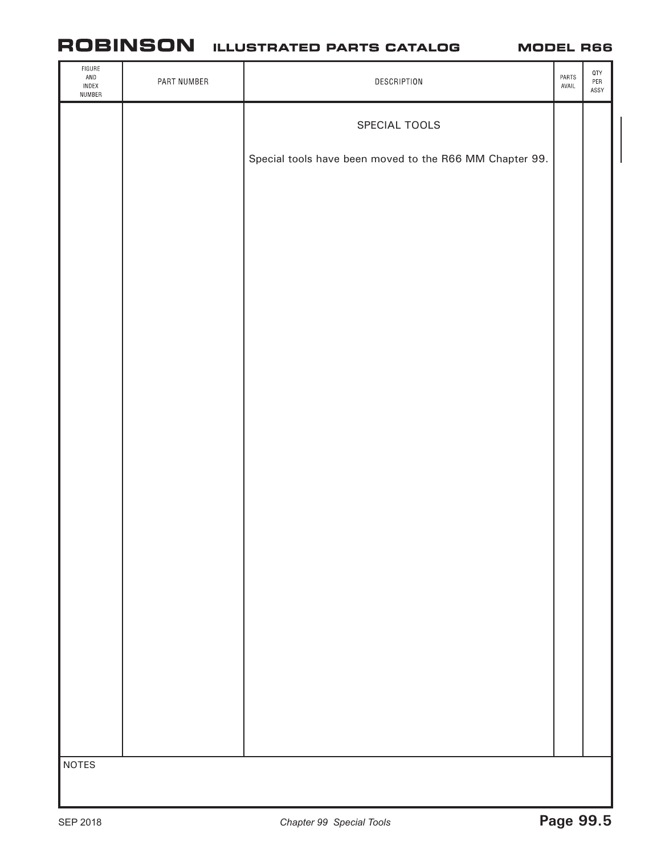| $\tt FIGURE$<br>$\mathsf{AND}$<br>INDEX<br>NUMBER | PART NUMBER | DESCRIPTION                                             | PARTS<br>AVAIL | $\ensuremath{\mathsf{QTY}}$<br>$\ensuremath{\mathsf{PER}}$<br>ASSY |  |
|---------------------------------------------------|-------------|---------------------------------------------------------|----------------|--------------------------------------------------------------------|--|
|                                                   |             | SPECIAL TOOLS                                           |                |                                                                    |  |
|                                                   |             | Special tools have been moved to the R66 MM Chapter 99. |                |                                                                    |  |
|                                                   |             |                                                         |                |                                                                    |  |
|                                                   |             |                                                         |                |                                                                    |  |
|                                                   |             |                                                         |                |                                                                    |  |
|                                                   |             |                                                         |                |                                                                    |  |
|                                                   |             |                                                         |                |                                                                    |  |
|                                                   |             |                                                         |                |                                                                    |  |
|                                                   |             |                                                         |                |                                                                    |  |
|                                                   |             |                                                         |                |                                                                    |  |
|                                                   |             |                                                         |                |                                                                    |  |
|                                                   |             |                                                         |                |                                                                    |  |
|                                                   |             |                                                         |                |                                                                    |  |
|                                                   |             |                                                         |                |                                                                    |  |
|                                                   |             |                                                         |                |                                                                    |  |
|                                                   |             |                                                         |                |                                                                    |  |
|                                                   |             |                                                         |                |                                                                    |  |
| <b>NOTES</b>                                      |             |                                                         |                |                                                                    |  |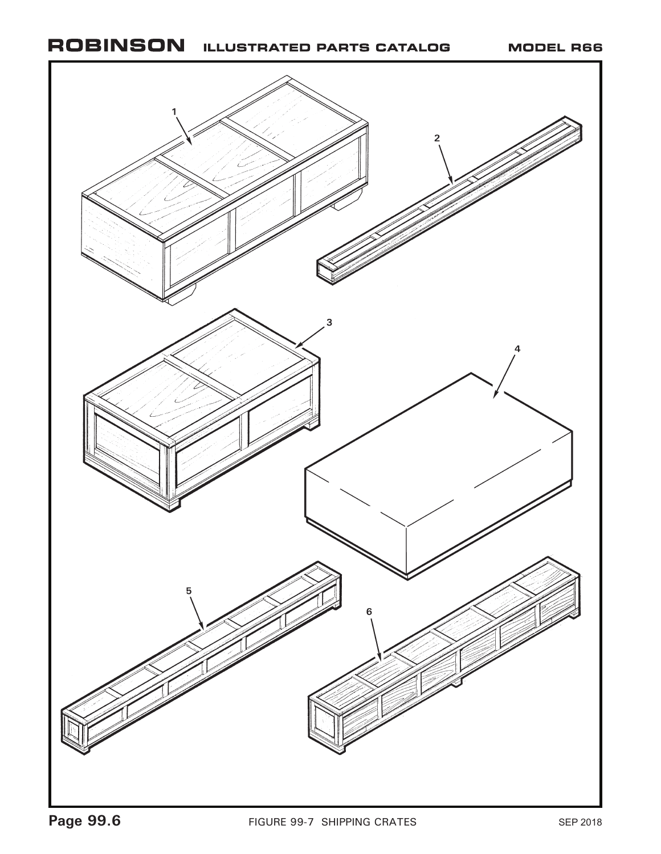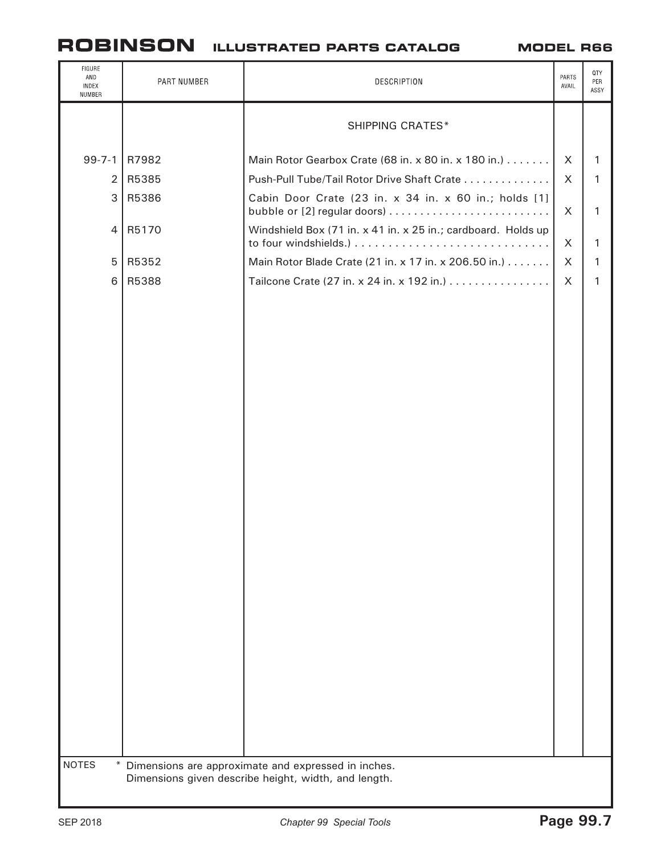| FIGURE<br>AND<br>INDEX<br>NUMBER                   | PART NUMBER                                        | DESCRIPTION                                                                                                                                                                                                                                                                                                                          | PARTS<br>AVAIL             | QTY<br>PER<br>ASSY         |  |
|----------------------------------------------------|----------------------------------------------------|--------------------------------------------------------------------------------------------------------------------------------------------------------------------------------------------------------------------------------------------------------------------------------------------------------------------------------------|----------------------------|----------------------------|--|
|                                                    |                                                    | <b>SHIPPING CRATES*</b>                                                                                                                                                                                                                                                                                                              |                            |                            |  |
| $99 - 7 - 1$<br>$\overline{2}$<br>3<br>4<br>5<br>6 | R7982<br>R5385<br>R5386<br>R5170<br>R5352<br>R5388 | Main Rotor Gearbox Crate (68 in. x 80 in. x 180 in.)<br>Push-Pull Tube/Tail Rotor Drive Shaft Crate<br>Cabin Door Crate (23 in. x 34 in. x 60 in.; holds [1]<br>Windshield Box (71 in. x 41 in. x 25 in.; cardboard. Holds up<br>Main Rotor Blade Crate (21 in. x 17 in. x 206.50 in.)<br>Tailcone Crate (27 in. x 24 in. x 192 in.) | X<br>X<br>X<br>X<br>X<br>X | 1<br>1<br>1<br>1<br>1<br>1 |  |
| <b>NOTES</b>                                       |                                                    | * Dimensions are approximate and expressed in inches.<br>Dimensions given describe height, width, and length.                                                                                                                                                                                                                        |                            |                            |  |
|                                                    |                                                    |                                                                                                                                                                                                                                                                                                                                      |                            |                            |  |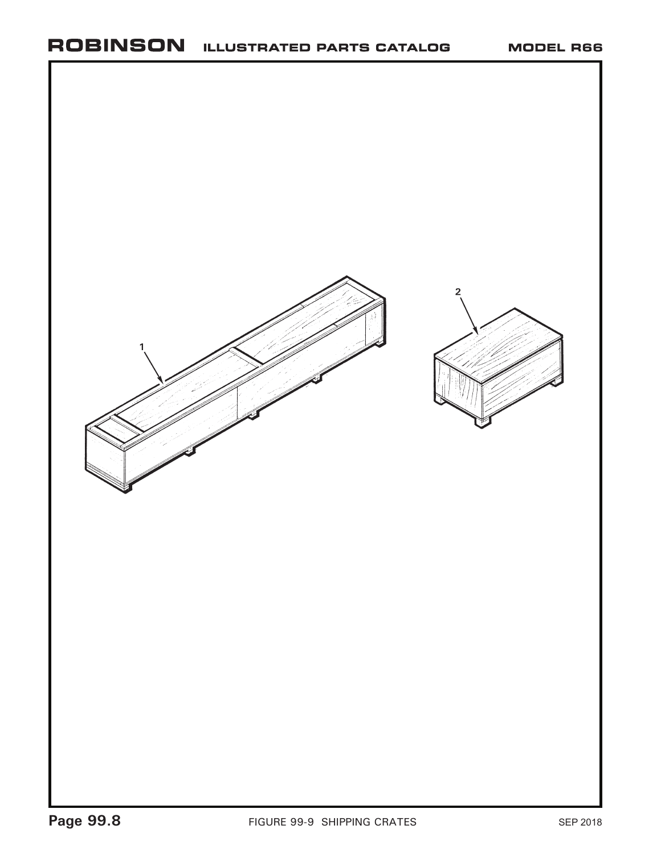